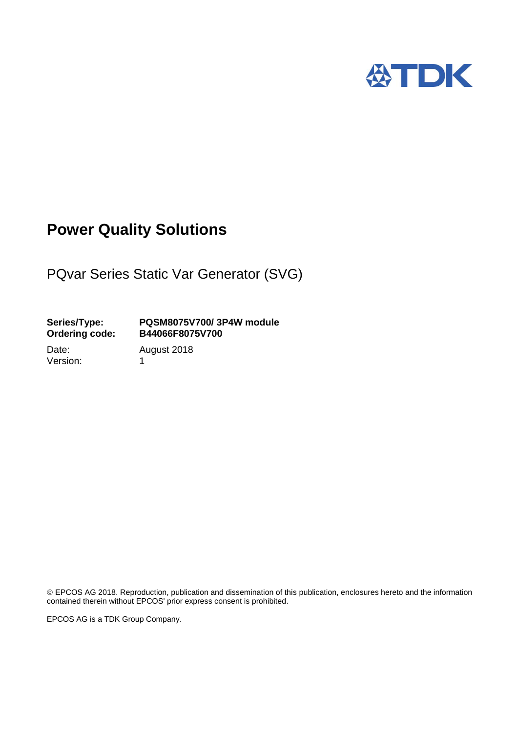

## **Power Quality Solutions**

PQvar Series Static Var Generator (SVG)

### **Series/Type: PQSM8075V700/ 3P4W module Ordering code: B44066F8075V700**

Version: 1

Date: August 2018

 EPCOS AG 2018. Reproduction, publication and dissemination of this publication, enclosures hereto and the information contained therein without EPCOS' prior express consent is prohibited.

EPCOS AG is a TDK Group Company.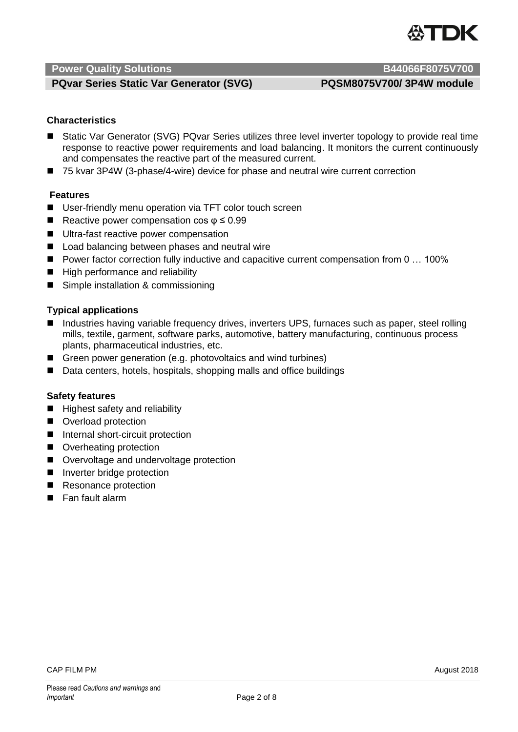

### **PQvar Series Static Var Generator (SVG) PQSM8075V700/ 3P4W module**

### **Characteristics]**

- Static Var Generator (SVG) PQvar Series utilizes three level inverter topology to provide real time response to reactive power requirements and load balancing. It monitors the current continuously and compensates the reactive part of the measured current.
- 75 kvar 3P4W (3-phase/4-wire) device for phase and neutral wire current correction

### **Features**

- User-friendly menu operation via TFT color touch screen
- Reactive power compensation cos  $\varphi \leq 0.99$
- **Ultra-fast reactive power compensation**
- Load balancing between phases and neutral wire
- Power factor correction fully inductive and capacitive current compensation from 0 ... 100%
- High performance and reliability
- Simple installation & commissioning

### **Typical applications**

- Industries having variable frequency drives, inverters UPS, furnaces such as paper, steel rolling mills, textile, garment, software parks, automotive, battery manufacturing, continuous process plants, pharmaceutical industries, etc.
- Green power generation (e.g. photovoltaics and wind turbines)
- Data centers, hotels, hospitals, shopping malls and office buildings

### **Safety features**

- $\blacksquare$  Highest safety and reliability
- Overload protection
- Internal short-circuit protection
- Overheating protection
- Overvoltage and undervoltage protection
- **Inverter bridge protection**
- Resonance protection
- Fan fault alarm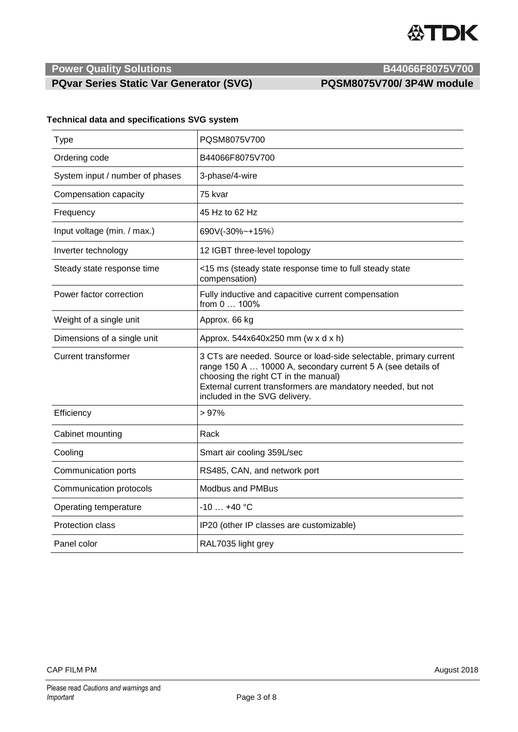

### **PQvar Series Static Var Generator (SVG) PQSM8075V700/ 3P4W module**

| <b>Technical data and specifications SVG system</b> |  |  |  |
|-----------------------------------------------------|--|--|--|
|-----------------------------------------------------|--|--|--|

| <b>Type</b>                     | PQSM8075V700                                                                                                                                                                                                                                                             |  |
|---------------------------------|--------------------------------------------------------------------------------------------------------------------------------------------------------------------------------------------------------------------------------------------------------------------------|--|
| Ordering code                   | B44066F8075V700                                                                                                                                                                                                                                                          |  |
| System input / number of phases | 3-phase/4-wire                                                                                                                                                                                                                                                           |  |
| Compensation capacity           | 75 kvar                                                                                                                                                                                                                                                                  |  |
| Frequency                       | 45 Hz to 62 Hz                                                                                                                                                                                                                                                           |  |
| Input voltage (min. / max.)     | 690V(-30%~+15%)                                                                                                                                                                                                                                                          |  |
| Inverter technology             | 12 IGBT three-level topology                                                                                                                                                                                                                                             |  |
| Steady state response time      | <15 ms (steady state response time to full steady state<br>compensation)                                                                                                                                                                                                 |  |
| Power factor correction         | Fully inductive and capacitive current compensation<br>from 0  100%                                                                                                                                                                                                      |  |
| Weight of a single unit         | Approx. 66 kg                                                                                                                                                                                                                                                            |  |
| Dimensions of a single unit     | Approx. 544x640x250 mm (w x d x h)                                                                                                                                                                                                                                       |  |
| <b>Current transformer</b>      | 3 CTs are needed. Source or load-side selectable, primary current<br>range 150 A  10000 A, secondary current 5 A (see details of<br>choosing the right CT in the manual)<br>External current transformers are mandatory needed, but not<br>included in the SVG delivery. |  |
| Efficiency                      | >97%                                                                                                                                                                                                                                                                     |  |
| Cabinet mounting                | Rack                                                                                                                                                                                                                                                                     |  |
| Cooling                         | Smart air cooling 359L/sec                                                                                                                                                                                                                                               |  |
| Communication ports             | RS485, CAN, and network port                                                                                                                                                                                                                                             |  |
| Communication protocols         | <b>Modbus and PMBus</b>                                                                                                                                                                                                                                                  |  |
| Operating temperature           | $-10$ $+40$ °C                                                                                                                                                                                                                                                           |  |
| Protection class                | IP20 (other IP classes are customizable)                                                                                                                                                                                                                                 |  |
| Panel color                     | RAL7035 light grey                                                                                                                                                                                                                                                       |  |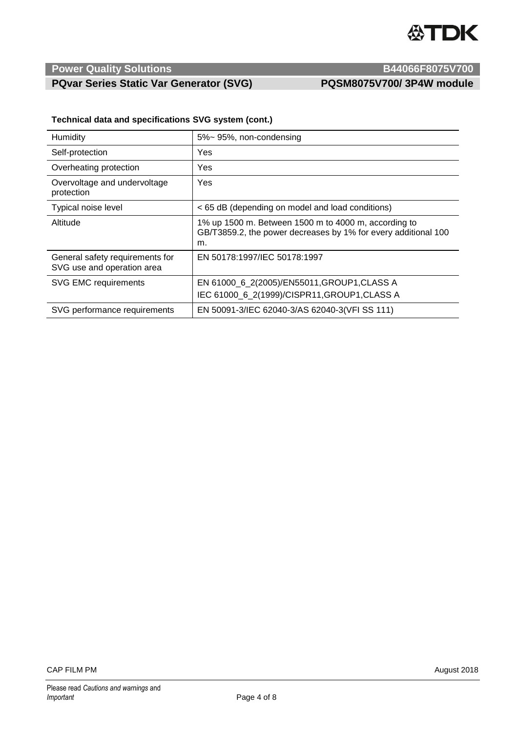

### **PQvar Series Static Var Generator (SVG) PQSM8075V700/ 3P4W module**

|  | Technical data and specifications SVG system (cont.) |  |  |
|--|------------------------------------------------------|--|--|
|--|------------------------------------------------------|--|--|

| Humidity                                                      | 5%~95%, non-condensing                                                                                                       |  |  |
|---------------------------------------------------------------|------------------------------------------------------------------------------------------------------------------------------|--|--|
| Self-protection                                               | Yes                                                                                                                          |  |  |
| Overheating protection                                        | Yes                                                                                                                          |  |  |
| Overvoltage and undervoltage<br>protection                    | Yes                                                                                                                          |  |  |
| Typical noise level                                           | < 65 dB (depending on model and load conditions)                                                                             |  |  |
| Altitude                                                      | 1% up 1500 m. Between 1500 m to 4000 m, according to<br>GB/T3859.2, the power decreases by 1% for every additional 100<br>m. |  |  |
| General safety requirements for<br>SVG use and operation area | EN 50178:1997/IEC 50178:1997                                                                                                 |  |  |
| <b>SVG EMC requirements</b>                                   | EN 61000_6_2(2005)/EN55011, GROUP1, CLASS A                                                                                  |  |  |
|                                                               | IEC 61000_6_2(1999)/CISPR11, GROUP1, CLASS A                                                                                 |  |  |
| SVG performance requirements                                  | EN 50091-3/IEC 62040-3/AS 62040-3(VFI SS 111)                                                                                |  |  |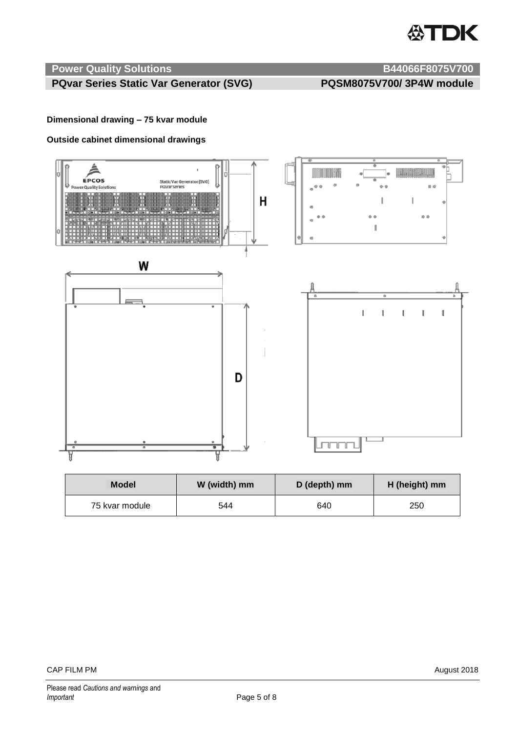# **公TDK**

### **Power Quality Solutions B44066F8075V700**

### **PQvar Series Static Var Generator (SVG) PQSM8075V700/ 3P4W module**

**Dimensional drawing – 75 kvar module**

### **Outside cabinet dimensional drawings**



| <b>Model</b>   | W (width) mm | D (depth) mm | H (height) mm |
|----------------|--------------|--------------|---------------|
| 75 kvar module | 544          | 640          | 250           |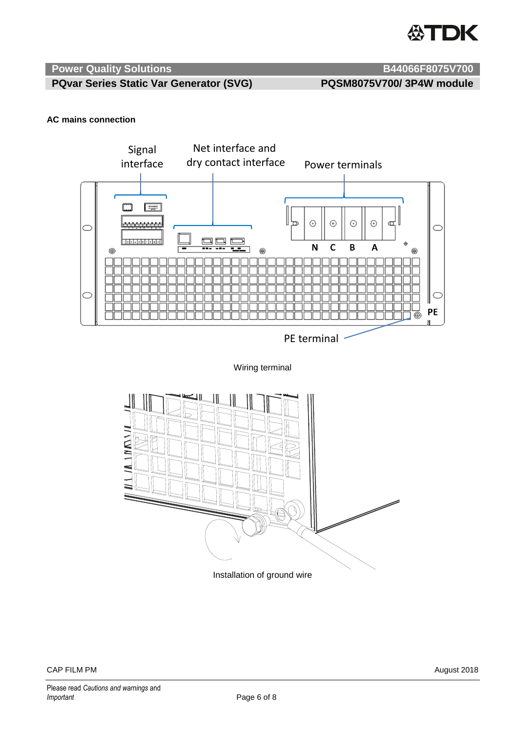

**PQvar Series Static Var Generator (SVG) PQSM8075V700/ 3P4W module**

### **AC mains connection**



Wiring terminal

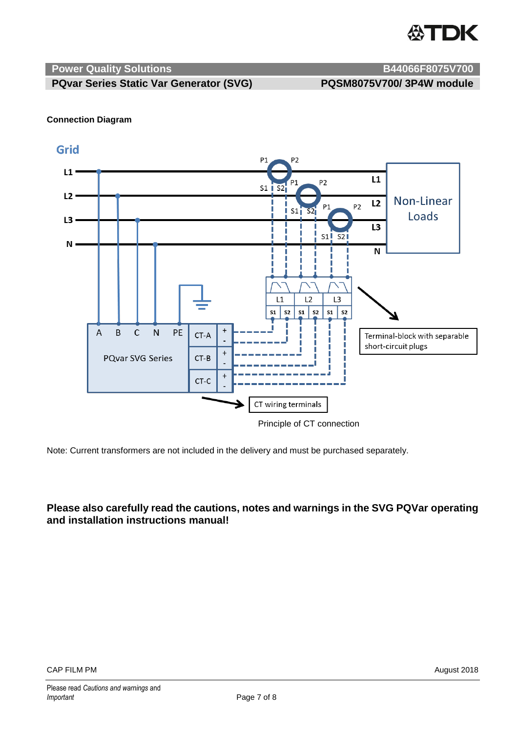

**PQvar Series Static Var Generator (SVG) PQSM8075V700/ 3P4W module**

### **Connection Diagram**

### Grid



Principle of CT connection

Note: Current transformers are not included in the delivery and must be purchased separately.

### **Please also carefully read the cautions, notes and warnings in the SVG PQVar operating and installation instructions manual!**